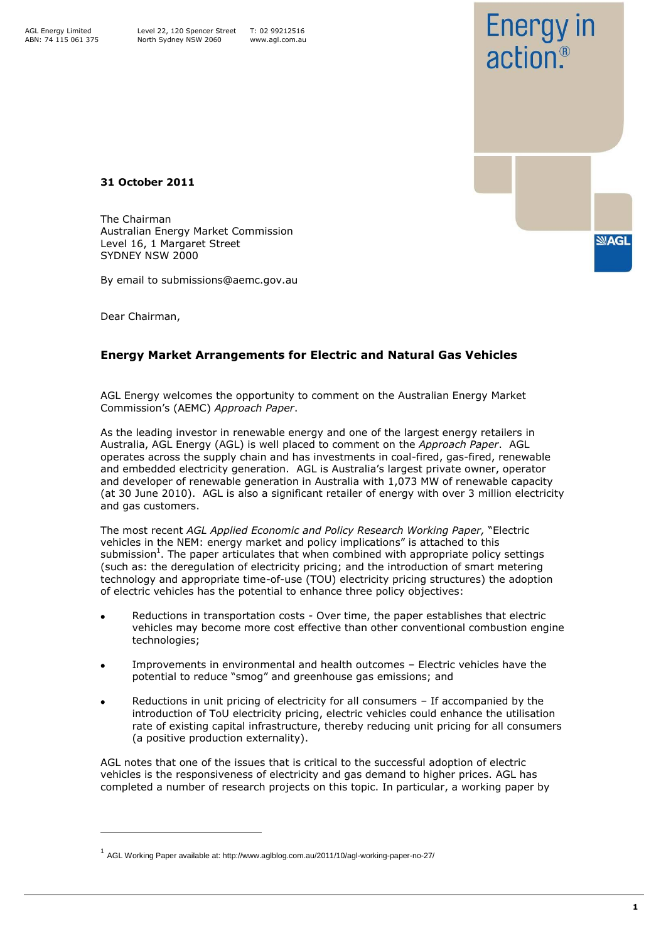AGL Energy Limited ABN: 74 115 061 375



**31 October 2011**

The Chairman Australian Energy Market Commission Level 16, 1 Margaret Street SYDNEY NSW 2000

By email to submissions@aemc.gov.au

Dear Chairman,

ł

## **Energy Market Arrangements for Electric and Natural Gas Vehicles**

AGL Energy welcomes the opportunity to comment on the Australian Energy Market Commission's (AEMC) *Approach Paper*.

As the leading investor in renewable energy and one of the largest energy retailers in Australia, AGL Energy (AGL) is well placed to comment on the *Approach Paper*. AGL operates across the supply chain and has investments in coal-fired, gas-fired, renewable and embedded electricity generation. AGL is Australia's largest private owner, operator and developer of renewable generation in Australia with 1,073 MW of renewable capacity (at 30 June 2010). AGL is also a significant retailer of energy with over 3 million electricity and gas customers.

The most recent *AGL Applied Economic and Policy Research Working Paper,* "Electric vehicles in the NEM: energy market and policy implications" is attached to this submission<sup>1</sup>. The paper articulates that when combined with appropriate policy settings (such as: the deregulation of electricity pricing; and the introduction of smart metering technology and appropriate time-of-use (TOU) electricity pricing structures) the adoption of electric vehicles has the potential to enhance three policy objectives:

- Reductions in transportation costs Over time, the paper establishes that electric vehicles may become more cost effective than other conventional combustion engine technologies;
- Improvements in environmental and health outcomes Electric vehicles have the potential to reduce "smog" and greenhouse gas emissions; and
- Reductions in unit pricing of electricity for all consumers If accompanied by the introduction of ToU electricity pricing, electric vehicles could enhance the utilisation rate of existing capital infrastructure, thereby reducing unit pricing for all consumers (a positive production externality).

AGL notes that one of the issues that is critical to the successful adoption of electric vehicles is the responsiveness of electricity and gas demand to higher prices. AGL has completed a number of research projects on this topic. In particular, a working paper by

<sup>&</sup>lt;sup>1</sup> AGL Working Paper available at: http://www.aglblog.com.au/2011/10/agl-working-paper-no-27/